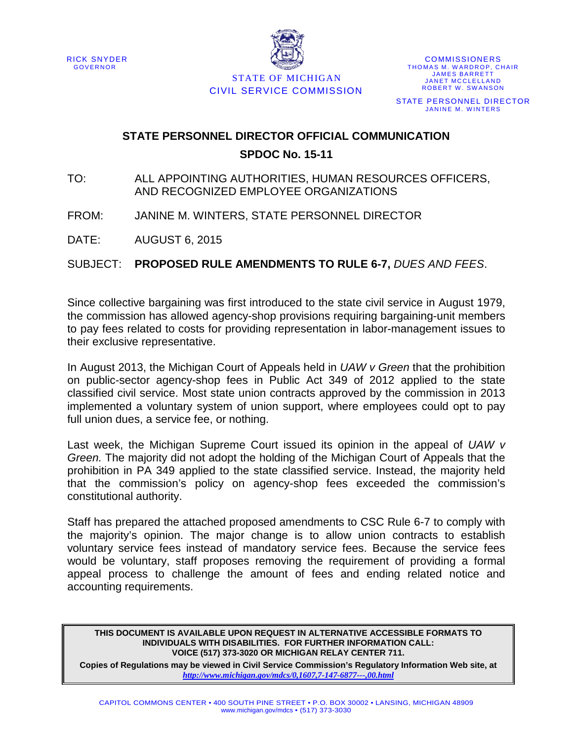



STATE OF MICHIGAN CIVIL SERVICE COMMISSION

**COMMISSIONERS** THOMAS M. WARDROP, CHAIR JAMES BARRETT JANET MCCLELLAND ROBERT W. SWANSON STATE PERSONNEL DIRECTOR JANINE M. WINTERS

### **STATE PERSONNEL DIRECTOR OFFICIAL COMMUNICATION SPDOC No. 15-11**

- TO: ALL APPOINTING AUTHORITIES, HUMAN RESOURCES OFFICERS, AND RECOGNIZED EMPLOYEE ORGANIZATIONS
- FROM: JANINE M. WINTERS, STATE PERSONNEL DIRECTOR

DATE: AUGUST 6, 2015

SUBJECT: **PROPOSED RULE AMENDMENTS TO RULE 6-7,** *DUES AND FEES*.

Since collective bargaining was first introduced to the state civil service in August 1979, the commission has allowed agency-shop provisions requiring bargaining-unit members to pay fees related to costs for providing representation in labor-management issues to their exclusive representative.

In August 2013, the Michigan Court of Appeals held in *UAW v Green* that the prohibition on public-sector agency-shop fees in Public Act 349 of 2012 applied to the state classified civil service. Most state union contracts approved by the commission in 2013 implemented a voluntary system of union support, where employees could opt to pay full union dues, a service fee, or nothing.

Last week, the Michigan Supreme Court issued its opinion in the appeal of *UAW v Green.* The majority did not adopt the holding of the Michigan Court of Appeals that the prohibition in PA 349 applied to the state classified service. Instead, the majority held that the commission's policy on agency-shop fees exceeded the commission's constitutional authority.

Staff has prepared the attached proposed amendments to CSC Rule 6-7 to comply with the majority's opinion. The major change is to allow union contracts to establish voluntary service fees instead of mandatory service fees. Because the service fees would be voluntary, staff proposes removing the requirement of providing a formal appeal process to challenge the amount of fees and ending related notice and accounting requirements.

**THIS DOCUMENT IS AVAILABLE UPON REQUEST IN ALTERNATIVE ACCESSIBLE FORMATS TO INDIVIDUALS WITH DISABILITIES. FOR FURTHER INFORMATION CALL: VOICE (517) 373-3020 OR MICHIGAN RELAY CENTER 711.**

**Copies of Regulations may be viewed in Civil Service Commission's Regulatory Information Web site, at**  *<http://www.michigan.gov/mdcs/0,1607,7-147-6877---,00.html>*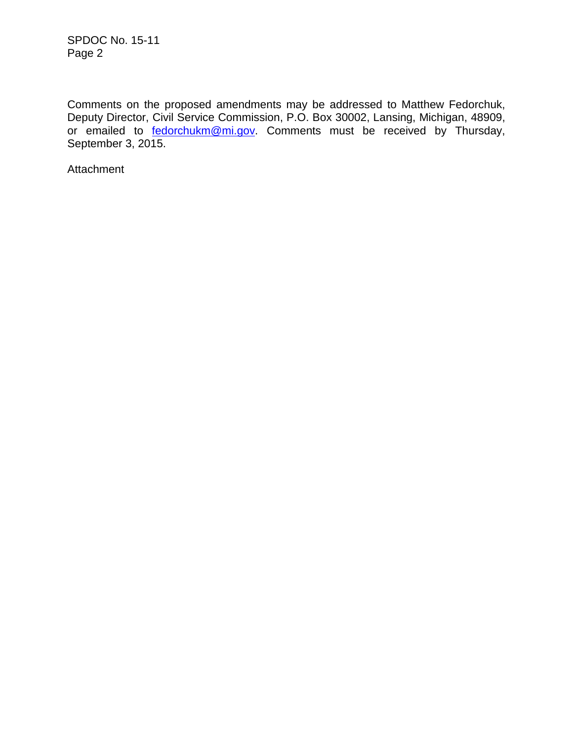Comments on the proposed amendments may be addressed to Matthew Fedorchuk, Deputy Director, Civil Service Commission, P.O. Box 30002, Lansing, Michigan, 48909, or emailed to **fedorchukm@mi.gov**. Comments must be received by Thursday, September 3, 2015.

Attachment